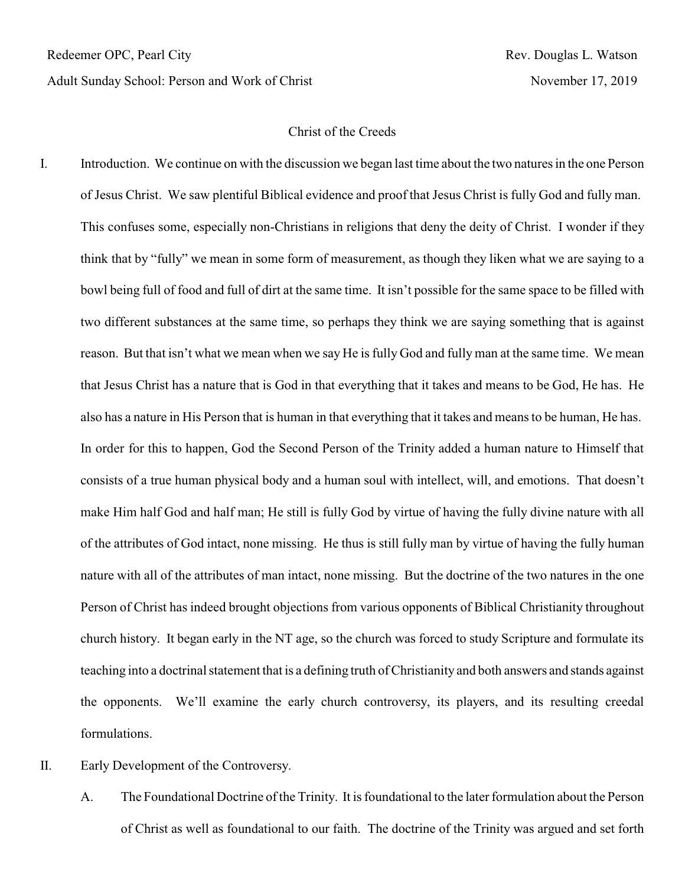Adult Sunday School: Person and Work of Christ November 17, 2019

## Christ of the Creeds

- I. Introduction. We continue on with the discussion we began last time about the two natures in the one Person of Jesus Christ. We saw plentiful Biblical evidence and proof that Jesus Christ is fully God and fully man. This confuses some, especially non-Christians in religions that deny the deity of Christ. I wonder if they think that by "fully" we mean in some form of measurement, as though they liken what we are saying to a bowl being full of food and full of dirt at the same time. It isn't possible for the same space to be filled with two different substances at the same time, so perhaps they think we are saying something that is against reason. But that isn't what we mean when we say He is fully God and fully man at the same time. We mean that Jesus Christ has a nature that is God in that everything that it takes and means to be God, He has. He also has a nature in His Person that is human in that everything that it takes and means to be human, He has. In order for this to happen, God the Second Person of the Trinity added a human nature to Himself that consists of a true human physical body and a human soul with intellect, will, and emotions. That doesn't make Him half God and half man; He still is fully God by virtue of having the fully divine nature with all of the attributes of God intact, none missing. He thus is still fully man by virtue of having the fully human nature with all of the attributes of man intact, none missing. But the doctrine of the two natures in the one Person of Christ has indeed brought objections from various opponents of Biblical Christianity throughout church history. It began early in the NT age, so the church was forced to study Scripture and formulate its teaching into a doctrinal statement that is a defining truth of Christianity and both answers and stands against the opponents. We'll examine the early church controversy, its players, and its resulting creedal formulations.
- II. Early Development of the Controversy.
	- A. The Foundational Doctrine of the Trinity. It is foundational to the later formulation about the Person of Christ as well as foundational to our faith. The doctrine of the Trinity was argued and set forth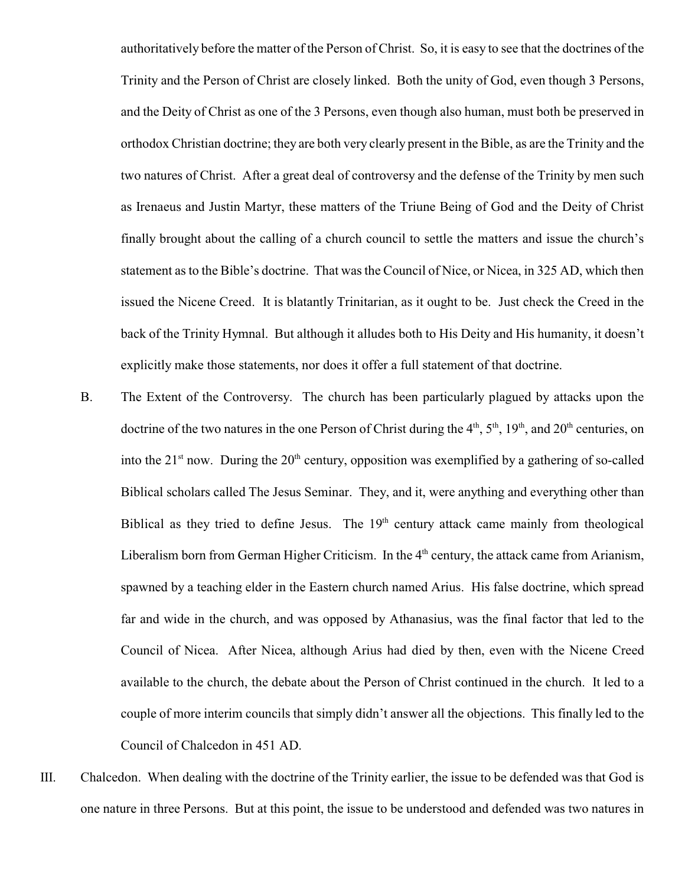authoritatively before the matter of the Person of Christ. So, it is easy to see that the doctrines of the Trinity and the Person of Christ are closely linked. Both the unity of God, even though 3 Persons, and the Deity of Christ as one of the 3 Persons, even though also human, must both be preserved in orthodox Christian doctrine; they are both very clearly present in the Bible, as are the Trinity and the two natures of Christ. After a great deal of controversy and the defense of the Trinity by men such as Irenaeus and Justin Martyr, these matters of the Triune Being of God and the Deity of Christ finally brought about the calling of a church council to settle the matters and issue the church's statement as to the Bible's doctrine. That was the Council of Nice, or Nicea, in 325 AD, which then issued the Nicene Creed. It is blatantly Trinitarian, as it ought to be. Just check the Creed in the back of the Trinity Hymnal. But although it alludes both to His Deity and His humanity, it doesn't explicitly make those statements, nor does it offer a full statement of that doctrine.

- B. The Extent of the Controversy. The church has been particularly plagued by attacks upon the doctrine of the two natures in the one Person of Christ during the  $4<sup>th</sup>$ ,  $5<sup>th</sup>$ ,  $19<sup>th</sup>$ , and  $20<sup>th</sup>$  centuries, on into the  $21<sup>st</sup>$  now. During the  $20<sup>th</sup>$  century, opposition was exemplified by a gathering of so-called Biblical scholars called The Jesus Seminar. They, and it, were anything and everything other than Biblical as they tried to define Jesus. The  $19<sup>th</sup>$  century attack came mainly from theological Liberalism born from German Higher Criticism. In the  $4<sup>th</sup>$  century, the attack came from Arianism, spawned by a teaching elder in the Eastern church named Arius. His false doctrine, which spread far and wide in the church, and was opposed by Athanasius, was the final factor that led to the Council of Nicea. After Nicea, although Arius had died by then, even with the Nicene Creed available to the church, the debate about the Person of Christ continued in the church. It led to a couple of more interim councils that simply didn't answer all the objections. This finally led to the Council of Chalcedon in 451 AD.
- III. Chalcedon. When dealing with the doctrine of the Trinity earlier, the issue to be defended was that God is one nature in three Persons. But at this point, the issue to be understood and defended was two natures in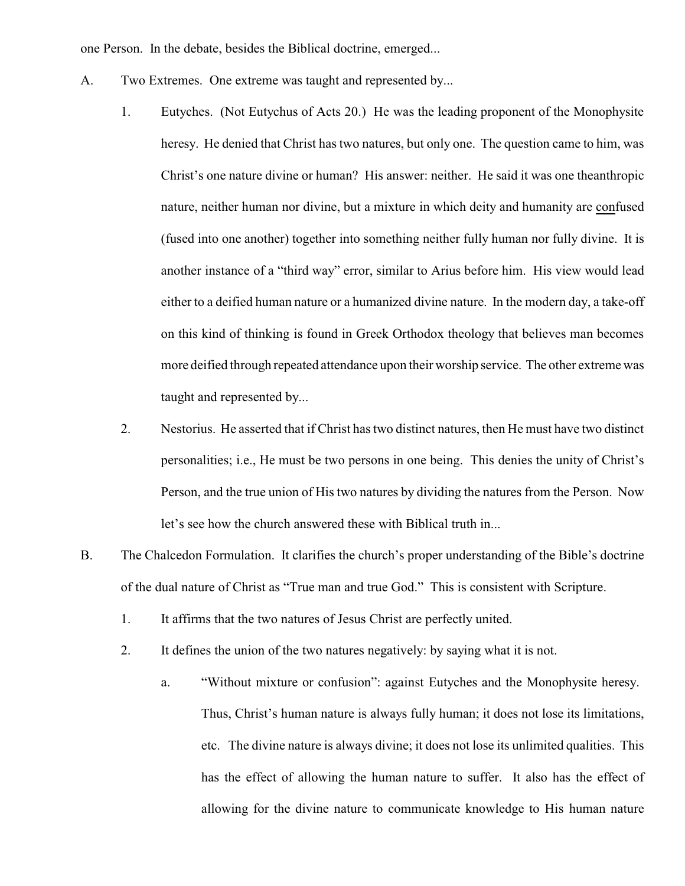one Person. In the debate, besides the Biblical doctrine, emerged...

- A. Two Extremes. One extreme was taught and represented by...
	- 1. Eutyches. (Not Eutychus of Acts 20.) He was the leading proponent of the Monophysite heresy. He denied that Christ has two natures, but only one. The question came to him, was Christ's one nature divine or human? His answer: neither. He said it was one theanthropic nature, neither human nor divine, but a mixture in which deity and humanity are confused (fused into one another) together into something neither fully human nor fully divine. It is another instance of a "third way" error, similar to Arius before him. His view would lead either to a deified human nature or a humanized divine nature. In the modern day, a take-off on this kind of thinking is found in Greek Orthodox theology that believes man becomes more deified through repeated attendance upon their worship service. The other extreme was taught and represented by...
	- 2. Nestorius. He asserted that if Christ has two distinct natures, then He must have two distinct personalities; i.e., He must be two persons in one being. This denies the unity of Christ's Person, and the true union of His two natures by dividing the natures from the Person. Now let's see how the church answered these with Biblical truth in...
- B. The Chalcedon Formulation. It clarifies the church's proper understanding of the Bible's doctrine of the dual nature of Christ as "True man and true God." This is consistent with Scripture.
	- 1. It affirms that the two natures of Jesus Christ are perfectly united.
	- 2. It defines the union of the two natures negatively: by saying what it is not.
		- a. "Without mixture or confusion": against Eutyches and the Monophysite heresy. Thus, Christ's human nature is always fully human; it does not lose its limitations, etc. The divine nature is always divine; it does not lose its unlimited qualities. This has the effect of allowing the human nature to suffer. It also has the effect of allowing for the divine nature to communicate knowledge to His human nature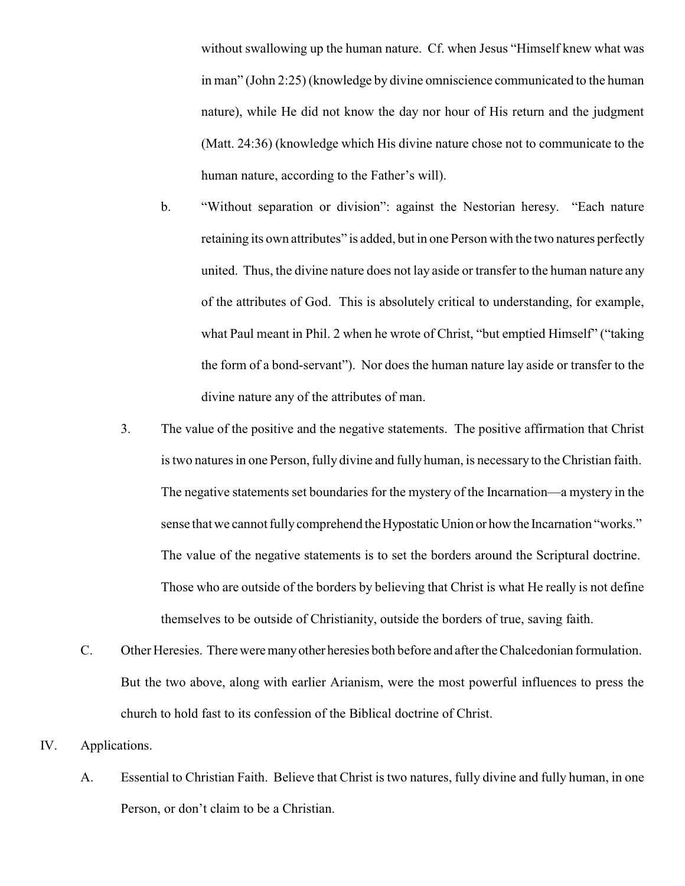without swallowing up the human nature. Cf. when Jesus "Himself knew what was in man" (John 2:25) (knowledge by divine omniscience communicated to the human nature), while He did not know the day nor hour of His return and the judgment (Matt. 24:36) (knowledge which His divine nature chose not to communicate to the human nature, according to the Father's will).

- b. "Without separation or division": against the Nestorian heresy. "Each nature retaining its own attributes" is added, but in one Person with the two natures perfectly united. Thus, the divine nature does not lay aside or transfer to the human nature any of the attributes of God. This is absolutely critical to understanding, for example, what Paul meant in Phil. 2 when he wrote of Christ, "but emptied Himself" ("taking the form of a bond-servant"). Nor does the human nature lay aside or transfer to the divine nature any of the attributes of man.
- 3. The value of the positive and the negative statements. The positive affirmation that Christ is two natures in one Person, fully divine and fully human, is necessary to the Christian faith. The negative statements set boundaries for the mystery of the Incarnation—a mystery in the sense that we cannot fully comprehend the Hypostatic Union or how the Incarnation "works." The value of the negative statements is to set the borders around the Scriptural doctrine. Those who are outside of the borders by believing that Christ is what He really is not define themselves to be outside of Christianity, outside the borders of true, saving faith.
- C. Other Heresies. Thereweremanyother heresies both before and after the Chalcedonian formulation. But the two above, along with earlier Arianism, were the most powerful influences to press the church to hold fast to its confession of the Biblical doctrine of Christ.
- IV. Applications.
	- A. Essential to Christian Faith. Believe that Christ is two natures, fully divine and fully human, in one Person, or don't claim to be a Christian.